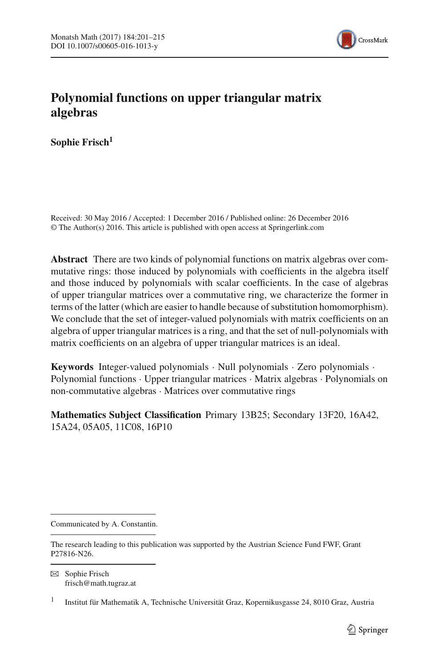

# **Polynomial functions on upper triangular matrix algebras**

**Sophie Frisch1**

Received: 30 May 2016 / Accepted: 1 December 2016 / Published online: 26 December 2016 © The Author(s) 2016. This article is published with open access at Springerlink.com

**Abstract** There are two kinds of polynomial functions on matrix algebras over commutative rings: those induced by polynomials with coefficients in the algebra itself and those induced by polynomials with scalar coefficients. In the case of algebras of upper triangular matrices over a commutative ring, we characterize the former in terms of the latter (which are easier to handle because of substitution homomorphism). We conclude that the set of integer-valued polynomials with matrix coefficients on an algebra of upper triangular matrices is a ring, and that the set of null-polynomials with matrix coefficients on an algebra of upper triangular matrices is an ideal.

**Keywords** Integer-valued polynomials · Null polynomials · Zero polynomials · Polynomial functions · Upper triangular matrices · Matrix algebras · Polynomials on non-commutative algebras · Matrices over commutative rings

**Mathematics Subject Classification** Primary 13B25; Secondary 13F20, 16A42, 15A24, 05A05, 11C08, 16P10

Communicated by A. Constantin.

The research leading to this publication was supported by the Austrian Science Fund FWF, Grant P27816-N26.

 $\boxtimes$  Sophie Frisch frisch@math.tugraz.at

<sup>&</sup>lt;sup>1</sup> Institut für Mathematik A, Technische Universität Graz, Kopernikusgasse 24, 8010 Graz, Austria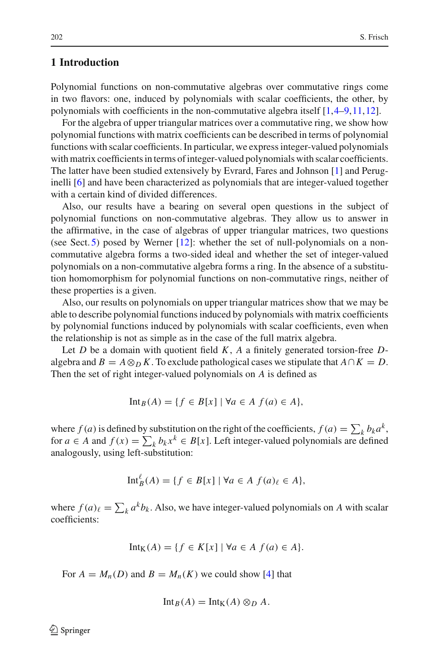# **1 Introduction**

Polynomial functions on non-commutative algebras over commutative rings come in two flavors: one, induced by polynomials with scalar coefficients, the other, by polynomials with coefficients in the non-commutative algebra itself [\[1,](#page-14-0)[4](#page-14-1)[–9](#page-14-2)[,11](#page-14-3)[,12](#page-14-4)].

For the algebra of upper triangular matrices over a commutative ring, we show how polynomial functions with matrix coefficients can be described in terms of polynomial functions with scalar coefficients. In particular, we express integer-valued polynomials with matrix coefficients in terms of integer-valued polynomials with scalar coefficients. The latter have been studied extensively by Evrard, Fares and Johnson [\[1](#page-14-0)] and Peruginelli [\[6\]](#page-14-5) and have been characterized as polynomials that are integer-valued together with a certain kind of divided differences.

Also, our results have a bearing on several open questions in the subject of polynomial functions on non-commutative algebras. They allow us to answer in the affirmative, in the case of algebras of upper triangular matrices, two questions (see Sect. [5\)](#page-12-0) posed by Werner [\[12](#page-14-4)]: whether the set of null-polynomials on a noncommutative algebra forms a two-sided ideal and whether the set of integer-valued polynomials on a non-commutative algebra forms a ring. In the absence of a substitution homomorphism for polynomial functions on non-commutative rings, neither of these properties is a given.

Also, our results on polynomials on upper triangular matrices show that we may be able to describe polynomial functions induced by polynomials with matrix coefficients by polynomial functions induced by polynomials with scalar coefficients, even when the relationship is not as simple as in the case of the full matrix algebra.

Let *D* be a domain with quotient field *K*, *A* a finitely generated torsion-free *D*algebra and  $B = A \otimes_D K$ . To exclude pathological cases we stipulate that  $A \cap K = D$ . Then the set of right integer-valued polynomials on *A* is defined as

$$
\mathrm{Int}_B(A) = \{ f \in B[x] \mid \forall a \in A \ f(a) \in A \},
$$

where  $f(a)$  is defined by substitution on the right of the coefficients,  $f(a) = \sum_{k} b_{k} a^{k}$ , for  $a \in A$  and  $f(x) = \sum_{k} b_k x^k \in B[x]$ . Left integer-valued polynomials are defined analogously, using left-substitution:

$$
\mathrm{Int}_B^{\ell}(A) = \{ f \in B[x] \mid \forall a \in A \ f(a)_{\ell} \in A \},
$$

where  $f(a)_{\ell} = \sum_{k} a^{k} b_{k}$ . Also, we have integer-valued polynomials on *A* with scalar coefficients:

$$
Int_K(A) = \{ f \in K[x] \mid \forall a \in A \ f(a) \in A \}.
$$

For  $A = M_n(D)$  and  $B = M_n(K)$  we could show [\[4\]](#page-14-1) that

$$
\mathrm{Int}_B(A) = \mathrm{Int}_K(A) \otimes_D A.
$$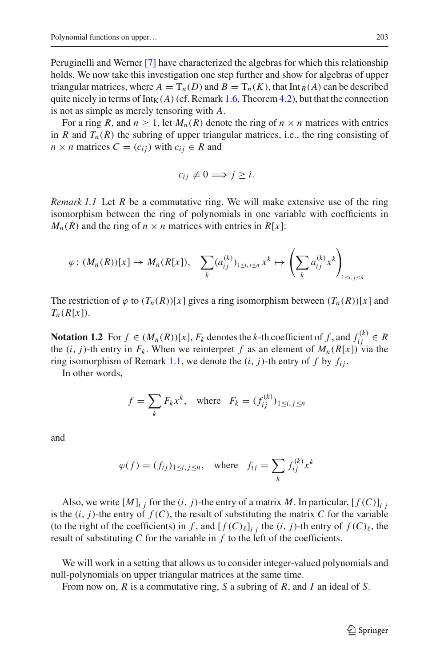Peruginelli and Werner [\[7\]](#page-14-6) have characterized the algebras for which this relationship holds. We now take this investigation one step further and show for algebras of upper triangular matrices, where  $A = T_n(D)$  and  $B = T_n(K)$ , that  $Int_B(A)$  can be described quite nicely in terms of  $Int<sub>K</sub>(A)$  (cf. Remark [1.6,](#page-3-0) Theorem [4.2\)](#page-11-0), but that the connection is not as simple as merely tensoring with *A*.

For a ring *R*, and  $n \geq 1$ , let  $M_n(R)$  denote the ring of  $n \times n$  matrices with entries in *R* and  $T_n(R)$  the subring of upper triangular matrices, i.e., the ring consisting of  $n \times n$  matrices  $C = (c_{ij})$  with  $c_{ij} \in R$  and

$$
c_{ij} \neq 0 \Longrightarrow j \geq i.
$$

<span id="page-2-0"></span>*Remark 1.1* Let *R* be a commutative ring. We will make extensive use of the ring isomorphism between the ring of polynomials in one variable with coefficients in  $M_n(R)$  and the ring of  $n \times n$  matrices with entries in  $R[x]$ :

$$
\varphi\colon (M_n(R))[x]\to M_n(R[x]),\quad \sum_k (a_{ij}^{(k)})_{1\leq i,j\leq n} x^k\mapsto \left(\sum_k a_{ij}^{(k)} x^k\right)_{1\leq i,j\leq n}
$$

The restriction of  $\varphi$  to  $(T_n(R))[x]$  gives a ring isomorphism between  $(T_n(R))[x]$  and  $T_n(R[x])$ .

<span id="page-2-1"></span>**Notation 1.2** For  $f \in (M_n(R))[x]$ ,  $F_k$  denotes the *k*-th coefficient of  $f$ , and  $f_{ij}^{(k)} \in R$ the  $(i, j)$ -th entry in  $F_k$ . When we reinterpret f as an element of  $M_n(R[x])$  via the ring isomorphism of Remark [1.1,](#page-2-0) we denote the  $(i, j)$ -th entry of f by  $f_{ij}$ .

In other words,

$$
f = \sum_{k} F_k x^k, \quad \text{where} \quad F_k = (f_{ij}^{(k)})_{1 \le i, j \le n}
$$

and

$$
\varphi(f) = (f_{ij})_{1 \le i, j \le n}, \quad \text{where} \quad f_{ij} = \sum_{k} f_{ij}^{(k)} x^{k}
$$

Also, we write  $[M]_i$  *i* for the  $(i, j)$ -the entry of a matrix M. In particular,  $[f(C)]_i$  *i* is the  $(i, j)$ -the entry of  $f(C)$ , the result of substituting the matrix  $C$  for the variable (to the right of the coefficients) in *f*, and  $[f(C)_{\ell}]_{i j}$  the  $(i, j)$ -th entry of  $f(C)_{\ell}$ , the result of substituting *C* for the variable in *f* to the left of the coefficients.

We will work in a setting that allows us to consider integer-valued polynomials and null-polynomials on upper triangular matrices at the same time.

From now on, *R* is a commutative ring, *S* a subring of *R*, and *I* an ideal of *S*.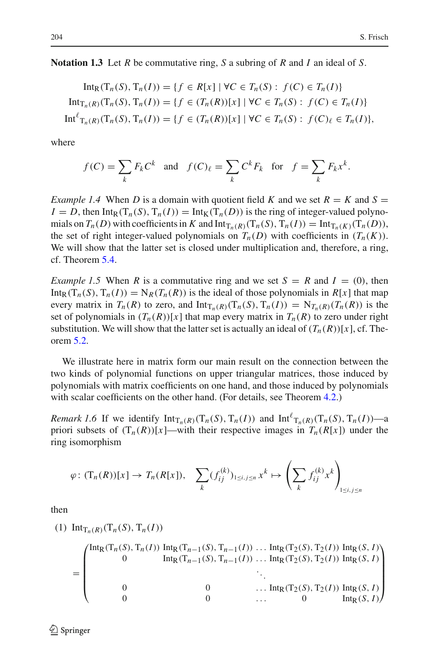**Notation 1.3** Let *R* be commutative ring, *S* a subring of *R* and *I* an ideal of *S*.

$$
\text{Int}_{R}(T_{n}(S), T_{n}(I)) = \{ f \in R[x] \mid \forall C \in T_{n}(S) : f(C) \in T_{n}(I) \}
$$
\n
$$
\text{Int}_{T_{n}(R)}(T_{n}(S), T_{n}(I)) = \{ f \in (T_{n}(R))[x] \mid \forall C \in T_{n}(S) : f(C) \in T_{n}(I) \}
$$
\n
$$
\text{Int}^{\ell}{}_{T_{n}(R)}(T_{n}(S), T_{n}(I)) = \{ f \in (T_{n}(R))[x] \mid \forall C \in T_{n}(S) : f(C)_{\ell} \in T_{n}(I) \},
$$

where

$$
f(C) = \sum_{k} F_k C^k \quad \text{and} \quad f(C)_{\ell} = \sum_{k} C^k F_k \quad \text{for} \quad f = \sum_{k} F_k x^k.
$$

*Example 1.4* When *D* is a domain with quotient field *K* and we set  $R = K$  and  $S =$  $I = D$ , then Int<sub>R</sub>(T<sub>*n*</sub>(*S*), T<sub>*n*</sub>(*I*)) = Int<sub>K</sub>(T<sub>*n*</sub>(*D*)) is the ring of integer-valued polynomials on  $T_n(D)$  with coefficients in *K* and  $Int_{T_n(R)}(T_n(S), T_n(I)) = Int_{T_n(K)}(T_n(D)),$ the set of right integer-valued polynomials on  $T_n(D)$  with coefficients in  $(T_n(K))$ . We will show that the latter set is closed under multiplication and, therefore, a ring, cf. Theorem [5.4.](#page-13-0)

*Example 1.5* When *R* is a commutative ring and we set  $S = R$  and  $I = (0)$ , then  $\text{Int}_R(T_n(S), T_n(I)) = N_R(T_n(R))$  is the ideal of those polynomials in  $R[x]$  that map every matrix in  $T_n(R)$  to zero, and  $\text{Int}_{T_n(R)}(T_n(S), T_n(I)) = N_{T_n(R)}(T_n(R))$  is the set of polynomials in  $(T_n(R))[x]$  that map every matrix in  $T_n(R)$  to zero under right substitution. We will show that the latter set is actually an ideal of  $(T_n(R))[x]$ , cf. Theorem [5.2.](#page-12-1)

We illustrate here in matrix form our main result on the connection between the two kinds of polynomial functions on upper triangular matrices, those induced by polynomials with matrix coefficients on one hand, and those induced by polynomials with scalar coefficients on the other hand. (For details, see Theorem [4.2.](#page-11-0))

<span id="page-3-0"></span>*Remark 1.6* If we identify  $Int_{T_n(R)}(T_n(S), T_n(I))$  and  $Int^{\ell}T_n(R)(T_n(S), T_n(I))$ —a priori subsets of  $(T_n(R))[x]$ —with their respective images in  $T_n(R[x])$  under the ring isomorphism

$$
\varphi\colon (\mathsf{T}_n(R))[x]\to T_n(R[x]),\quad \sum_k (f_{ij}^{(k)})_{1\leq i,j\leq n} x^k \mapsto \left(\sum_k f_{ij}^{(k)} x^k\right)_{1\leq i,j\leq n}
$$

then

(1) Int<sub>T<sub>n</sub>(R)</sub>(T<sub>n</sub>(S), T<sub>n</sub>(I))

$$
= \begin{pmatrix} \text{Int}_{R}(T_{n}(S), T_{n}(I)) & \text{Int}_{R}(T_{n-1}(S), T_{n-1}(I)) & \dots & \text{Int}_{R}(T_{2}(S), T_{2}(I)) & \text{Int}_{R}(S, I) \\ 0 & \text{Int}_{R}(T_{n-1}(S), T_{n-1}(I)) & \dots & \text{Int}_{R}(T_{2}(S), T_{2}(I)) & \text{Int}_{R}(S, I) \\ \vdots & \vdots & \ddots & \vdots \\ 0 & 0 & \dots & \text{Int}_{R}(T_{2}(S), T_{2}(I)) & \text{Int}_{R}(S, I) \\ 0 & 0 & \dots & 0 & \text{Int}_{R}(S, I) \end{pmatrix}
$$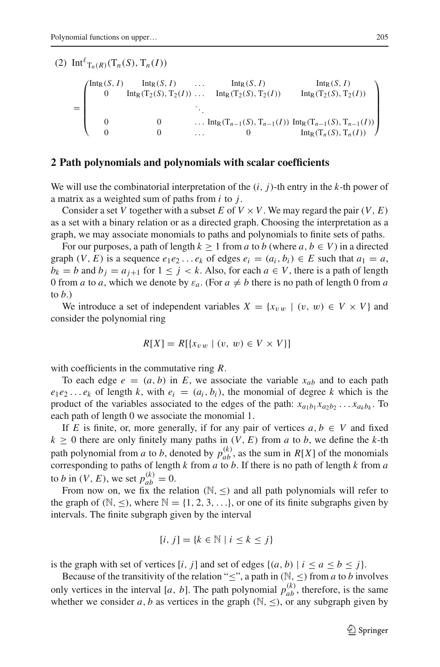(2)  $\text{Int}^{\ell}T_{n}(R)(T_{n}(S), T_{n}(I))$ 

=  $\sqrt{2}$  $\Big\}$  $Int_R(S, I)$   $Int_R(S, I)$  ...  $Int_R(S, I)$   $Int_R(S, I)$ 0 Int<sub>R</sub>(T<sub>2</sub>(*S*), T<sub>2</sub>(*I*)) ... Int<sub>R</sub>(T<sub>2</sub>(*S*), T<sub>2</sub>(*I*)) Int<sub>R</sub>(T<sub>2</sub>(*S*), T<sub>2</sub>(*I*)) ... 0 ... Int<sub>R</sub>(T<sub>n−1</sub>(*S*), T<sub>n−1</sub>(*I*)) Int<sub>R</sub>(T<sub>n−1</sub>(*S*), T<sub>n−1</sub>(*I*)) 0 0 ... 0 Int<sub>R</sub>(T<sub>n</sub>(*S*), T<sub>n</sub>(*I*))  $\lambda$  $\frac{1}{\sqrt{2\pi}}$ 

## **2 Path polynomials and polynomials with scalar coefficients**

We will use the combinatorial interpretation of the (*i*, *j*)-th entry in the *k*-th power of a matrix as a weighted sum of paths from *i* to *j*.

Consider a set *V* together with a subset *E* of  $V \times V$ . We may regard the pair  $(V, E)$ as a set with a binary relation or as a directed graph. Choosing the interpretation as a graph, we may associate monomials to paths and polynomials to finite sets of paths.

For our purposes, a path of length  $k \ge 1$  from *a* to *b* (where  $a, b \in V$ ) in a directed graph  $(V, E)$  is a sequence  $e_1e_2 \ldots e_k$  of edges  $e_i = (a_i, b_i) \in E$  such that  $a_1 = a$ ,  $b_k = b$  and  $b_j = a_{j+1}$  for  $1 \leq j \leq k$ . Also, for each  $a \in V$ , there is a path of length 0 from *a* to *a*, which we denote by  $\varepsilon_a$ . (For  $a \neq b$  there is no path of length 0 from *a* to *b*.)

We introduce a set of independent variables  $X = \{x_{vw} \mid (v, w) \in V \times V\}$  and consider the polynomial ring

$$
R[X] = R[\lbrace x_{vw} \mid (v, w) \in V \times V \rbrace]
$$

with coefficients in the commutative ring *R*.

To each edge  $e = (a, b)$  in *E*, we associate the variable  $x_{ab}$  and to each path  $e_1e_2...e_k$  of length *k*, with  $e_i = (a_i, b_i)$ , the monomial of degree *k* which is the product of the variables associated to the edges of the path:  $x_{a_1b_1}x_{a_2b_2} \ldots x_{a_kb_k}$ . To each path of length 0 we associate the monomial 1.

If *E* is finite, or, more generally, if for any pair of vertices  $a, b \in V$  and fixed  $k \geq 0$  there are only finitely many paths in  $(V, E)$  from *a* to *b*, we define the *k*-th path polynomial from *a* to *b*, denoted by  $p_{ab}^{(k)}$ , as the sum in  $R[X]$  of the monomials corresponding to paths of length *k* from *a* to *b*. If there is no path of length *k* from *a* to *b* in  $(V, E)$ , we set  $p_{ab}^{(k)} = 0$ .

From now on, we fix the relation  $(N, \leq)$  and all path polynomials will refer to the graph of  $(N, \leq)$ , where  $N = \{1, 2, 3, \ldots\}$ , or one of its finite subgraphs given by intervals. The finite subgraph given by the interval

$$
[i, j] = \{k \in \mathbb{N} \mid i \le k \le j\}
$$

is the graph with set of vertices [*i*, *j*] and set of edges  $\{(a, b) | i \le a \le b \le j\}$ .

Because of the transitivity of the relation " $\leq$ ", a path in ( $\mathbb{N}, \leq$ ) from *a* to *b* involves only vertices in the interval [*a*, *b*]. The path polynomial  $p_{ab}^{(k)}$ , therefore, is the same whether we consider *a*, *b* as vertices in the graph  $(\mathbb{N}, \leq)$ , or any subgraph given by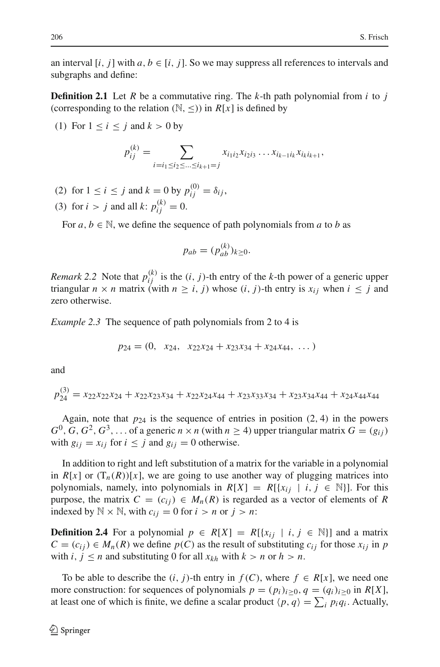<span id="page-5-0"></span>an interval  $[i, j]$  with  $a, b \in [i, j]$ . So we may suppress all references to intervals and subgraphs and define:

**Definition 2.1** Let *R* be a commutative ring. The *k*-th path polynomial from *i* to *j* (corresponding to the relation  $(N, \leq)$ ) in *R[x]* is defined by

(1) For  $1 \le i \le j$  and  $k > 0$  by

$$
p_{ij}^{(k)} = \sum_{i=i_1 \le i_2 \le \dots \le i_{k+1}=j} x_{i_1 i_2} x_{i_2 i_3} \dots x_{i_{k-1} i_k} x_{i_k i_{k+1}},
$$

- (2) for  $1 \le i \le j$  and  $k = 0$  by  $p_{ij}^{(0)} = \delta_{ij}$ ,
- (3) for  $i > j$  and all  $k: p_{ij}^{(k)} = 0$ .

For  $a, b \in \mathbb{N}$ , we define the sequence of path polynomials from  $a$  to  $b$  as

$$
p_{ab} = (p_{ab}^{(k)})_{k \ge 0}.
$$

<span id="page-5-2"></span>*Remark* 2.2 Note that  $p_{ij}^{(k)}$  is the  $(i, j)$ -th entry of the *k*-th power of a generic upper triangular  $n \times n$  matrix (with  $n \ge i$ , *j*) whose  $(i, j)$ -th entry is  $x_{ij}$  when  $i \le j$  and zero otherwise.

*Example 2.3* The sequence of path polynomials from 2 to 4 is

$$
p_{24} = (0, x_{24}, x_{22}x_{24} + x_{23}x_{34} + x_{24}x_{44}, \dots)
$$

and

$$
p_{24}^{(3)} = x_{22}x_{22}x_{24} + x_{22}x_{23}x_{34} + x_{22}x_{24}x_{44} + x_{23}x_{33}x_{34} + x_{23}x_{34}x_{44} + x_{24}x_{44}x_{44}
$$

Again, note that  $p_{24}$  is the sequence of entries in position  $(2, 4)$  in the powers  $G^0$ ,  $G$ ,  $G^2$ ,  $G^3$ ,... of a generic  $n \times n$  (with  $n \ge 4$ ) upper triangular matrix  $G = (g_{ij})$ with  $g_{ij} = x_{ij}$  for  $i \leq j$  and  $g_{ij} = 0$  otherwise.

In addition to right and left substitution of a matrix for the variable in a polynomial in  $R[x]$  or  $(T_n(R))[x]$ , we are going to use another way of plugging matrices into polynomials, namely, into polynomials in  $R[X] = R[\{x_i \mid i, j \in \mathbb{N}\}]$ . For this purpose, the matrix  $C = (c_{ij}) \in M_n(R)$  is regarded as a vector of elements of R indexed by  $\mathbb{N} \times \mathbb{N}$ , with  $c_{ij} = 0$  for  $i > n$  or  $j > n$ :

<span id="page-5-1"></span>**Definition 2.4** For a polynomial  $p \in R[X] = R[\{x_{ij} | i, j \in \mathbb{N}\}]$  and a matrix  $C = (c_{ij}) \in M_n(R)$  we define  $p(C)$  as the result of substituting  $c_{ij}$  for those  $x_{ij}$  in *p* with  $i, j \leq n$  and substituting 0 for all  $x_{kh}$  with  $k > n$  or  $h > n$ .

To be able to describe the  $(i, j)$ -th entry in  $f(C)$ , where  $f \in R[x]$ , we need one more construction: for sequences of polynomials  $p = (p_i)_{i \geq 0}, q = (q_i)_{i \geq 0}$  in  $R[X]$ , at least one of which is finite, we define a scalar product  $\langle p, q \rangle = \sum_i p_i q_i$ . Actually,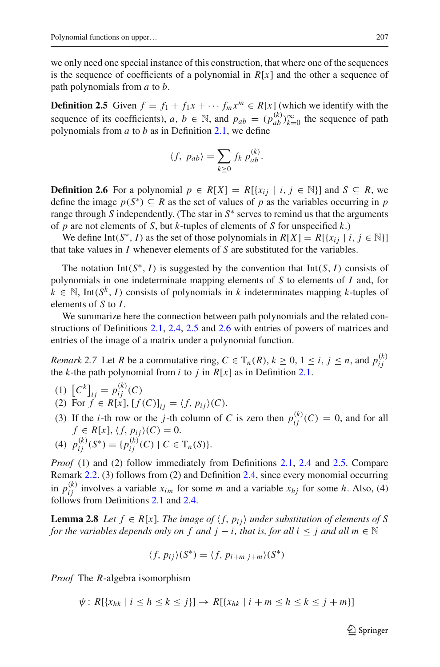we only need one special instance of this construction, that where one of the sequences is the sequence of coefficients of a polynomial in  $R[x]$  and the other a sequence of path polynomials from *a* to *b*.

<span id="page-6-0"></span>**Definition 2.5** Given  $f = f_1 + f_1x + \cdots + f_mx^m \in R[x]$  (which we identify with the sequence of its coefficients),  $a, b \in \mathbb{N}$ , and  $p_{ab} = (p_{ab}^{(k)})_{k=0}^{\infty}$  the sequence of path polynomials from *a* to *b* as in Definition [2.1,](#page-5-0) we define

$$
\langle f, p_{ab}\rangle = \sum_{k\geq 0} f_k p_{ab}^{(k)}.
$$

<span id="page-6-1"></span>**Definition 2.6** For a polynomial *p* ∈ *R*[*X*] = *R*[{ $x_{ij}$  | *i*, *j* ∈ N}] and *S* ⊂ *R*, we define the image  $p(S^*) \subseteq R$  as the set of values of p as the variables occurring in p range through *S* independently. (The star in  $S^*$  serves to remind us that the arguments of *p* are not elements of *S*, but *k*-tuples of elements of *S* for unspecified *k*.)

We define Int(*S*<sup>\*</sup>, *I*) as the set of those polynomials in  $R[X] = R[\{x_{ij} | i, j \in \mathbb{N}\}]$ that take values in *I* whenever elements of *S* are substituted for the variables.

The notation Int( $S^*$ , *I*) is suggested by the convention that Int( $S$ , *I*) consists of polynomials in one indeterminate mapping elements of *S* to elements of *I* and, for  $k \in \mathbb{N}$ , Int( $S^k$ , *I*) consists of polynomials in *k* indeterminates mapping *k*-tuples of elements of *S* to *I*.

We summarize here the connection between path polynomials and the related constructions of Definitions [2.1,](#page-5-0) [2.4,](#page-5-1) [2.5](#page-6-0) and [2.6](#page-6-1) with entries of powers of matrices and entries of the image of a matrix under a polynomial function.

<span id="page-6-2"></span>*Remark* 2.7 Let *R* be a commutative ring,  $C \in T_n(R)$ ,  $k \ge 0$ ,  $1 \le i, j \le n$ , and  $p_{ij}^{(k)}$ the *k*-the path polynomial from *i* to *j* in  $R[x]$  as in Definition [2.1.](#page-5-0)

- (1)  $[C^k]_{ij} = p_{ij}^{(k)}(C)$
- (2) For  $\hat{f} \in R[x]$ ,  $[f(C)]_{ii} = \langle f, p_{ii} \rangle (C)$ .
- (3) If the *i*-th row or the *j*-th column of *C* is zero then  $p_{ij}^{(k)}(C) = 0$ , and for all  $f \in R[x]$ ,  $\langle f, p_{ij} \rangle(C) = 0$ .
- (4)  $p_{ij}^{(k)}(S^*) = \{p_{ij}^{(k)}(C) \mid C \in T_n(S)\}.$

*Proof* (1) and (2) follow immediately from Definitions [2.1,](#page-5-0) [2.4](#page-5-1) and [2.5.](#page-6-0) Compare Remark [2.2.](#page-5-2) (3) follows from (2) and Definition [2.4,](#page-5-1) since every monomial occurring in  $p_{ij}^{(k)}$  involves a variable  $x_{im}$  for some *m* and a variable  $x_{hj}$  for some *h*. Also, (4) follows from Definitions [2.1](#page-5-0) and [2.4.](#page-5-1)

<span id="page-6-3"></span>**Lemma 2.8** *Let*  $f \in R[x]$ *. The image of*  $\langle f, p_{ij} \rangle$  *under substitution of elements of* S *for the variables depends only on f and*  $j - i$ *, that is, for all*  $i \leq j$  *and all*  $m \in \mathbb{N}$ 

$$
\langle f, p_{ij} \rangle (S^*) = \langle f, p_{i+m j+m} \rangle (S^*)
$$

*Proof* The *R*-algebra isomorphism

 $\psi$ :  $R[\{x_{hk} \mid i \leq h \leq k \leq j\}] \rightarrow R[\{x_{hk} \mid i + m \leq h \leq k \leq j + m\}]$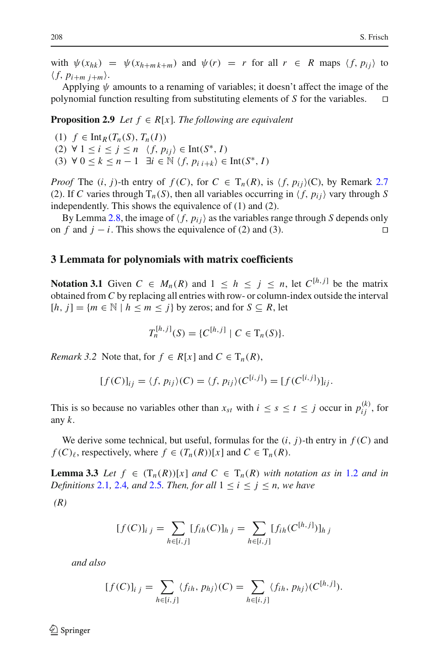with  $\psi(x_{hk}) = \psi(x_{h+m k+m})$  and  $\psi(r) = r$  for all  $r \in R$  maps  $\langle f, p_{ii} \rangle$  to  $\langle f, p_{i+m} \rangle$ .

Applying  $\psi$  amounts to a renaming of variables; it doesn't affect the image of the polynomial function resulting from substituting elements of *S* for the variables.

<span id="page-7-3"></span>**Proposition 2.9** *Let*  $f \in R[x]$ *. The following are equivalent* 

- (1) *f* ∈ Int*R*(*Tn*(*S*), *Tn*(*I*))
- (2) ∀ 1 ≤ *i* ≤ *j* ≤ *n f*, *pi j* ∈ Int(*S*∗, *I*)
- (3)  $\forall$  0  $\leq$   $k \leq n-1$   $\exists i \in \mathbb{N} \ \langle f, p_{i} \rangle \in \text{Int}(S^*, I)$

*Proof* The  $(i, j)$ -th entry of  $f(C)$ , for  $C \in T_n(R)$ , is  $\langle f, p_{ij} \rangle(C)$ , by Remark [2.7](#page-6-2) (2). If *C* varies through  $T_n(S)$ , then all variables occurring in  $\langle f, p_{ij} \rangle$  vary through *S* independently. This shows the equivalence of (1) and (2).

By Lemma [2.8,](#page-6-3) the image of  $\langle f, p_{ij} \rangle$  as the variables range through *S* depends only f and  $i - i$ . This shows the equivalence of (2) and (3). on *f* and  $j - i$ . This shows the equivalence of (2) and (3).

#### **3 Lemmata for polynomials with matrix coefficients**

<span id="page-7-2"></span>**Notation 3.1** Given  $C \in M_n(R)$  and  $1 \leq h \leq j \leq n$ , let  $C^{[h,j]}$  be the matrix obtained from *C* by replacing all entries with row- or column-index outside the interval  $[h, j] = \{m \in \mathbb{N} \mid h \leq m \leq j\}$  by zeros; and for  $S \subseteq R$ , let

$$
T_n^{[h,j]}(S) = \{C^{[h,j]} \mid C \in T_n(S)\}.
$$

<span id="page-7-0"></span>*Remark 3.2* Note that, for  $f \in R[x]$  and  $C \in T_n(R)$ ,

$$
[f(C)]_{ij} = \langle f, p_{ij} \rangle(C) = \langle f, p_{ij} \rangle(C^{[i,j]}) = [f(C^{[i,j]})]_{ij}.
$$

This is so because no variables other than  $x_{st}$  with  $i \leq s \leq t \leq j$  occur in  $p_{ij}^{(k)}$ , for any *k*.

<span id="page-7-1"></span>We derive some technical, but useful, formulas for the  $(i, j)$ -th entry in  $f(C)$  and *f* (*C*)<sub> $\ell$ </sub>, respectively, where  $f \in (T_n(R))[x]$  and  $C \in T_n(R)$ .

**Lemma 3.3** Let  $f \in (T_n(R))[x]$  and  $C \in T_n(R)$  with notation as in [1.2](#page-2-1) and in *Definitions* [2.1](#page-5-0), [2.4](#page-5-1), and [2.5](#page-6-0)*. Then, for all*  $1 \le i \le j \le n$ *, we have* 

*(R)*

$$
[f(C)]_{i j} = \sum_{h \in [i,j]} [f_{ih}(C)]_{h j} = \sum_{h \in [i,j]} [f_{ih}(C^{[h,j]})]_{h j}
$$

*and also*

$$
[f(C)]_{i j} = \sum_{h \in [i,j]} \langle f_{ih}, p_{hj} \rangle(C) = \sum_{h \in [i,j]} \langle f_{ih}, p_{hj} \rangle(C^{[h,j]}).
$$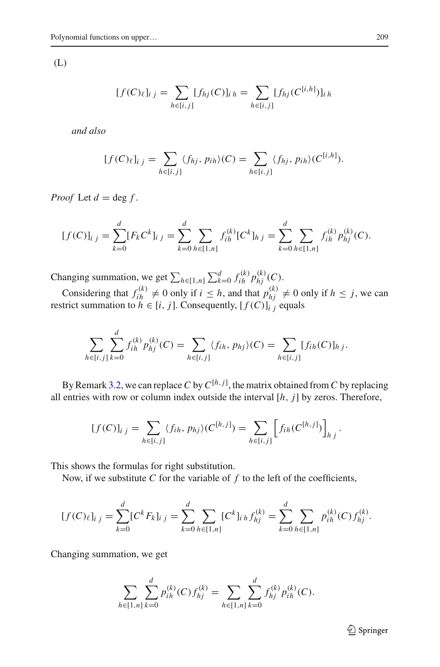(L)

$$
[f(C)_{\ell}]_{i,j} = \sum_{h \in [i,j]} [f_{hj}(C)]_{i,h} = \sum_{h \in [i,j]} [f_{hj}(C^{[i,h]})]_{i,h}
$$

*and also*

$$
[f(C)\ell]_{i,j} = \sum_{h \in [i,j]} \langle f_{hj}, p_{ih} \rangle(C) = \sum_{h \in [i,j]} \langle f_{hj}, p_{ih} \rangle(C^{[i,h]}).
$$

*Proof* Let  $d = \deg f$ .

$$
[f(C)]_{i j} = \sum_{k=0}^{d} [F_k C^k]_{i j} = \sum_{k=0}^{d} \sum_{h \in [1,n]} f_{ih}^{(k)} [C^k]_{h j} = \sum_{k=0}^{d} \sum_{h \in [1,n]} f_{ih}^{(k)} p_{hj}^{(k)}(C).
$$

Changing summation, we get  $\sum_{h \in [1,n]} \sum_{k=0}^d f_{ih}^{(k)} p_{hj}^{(k)}(C)$ .

Considering that  $f_{ih}^{(k)} \neq 0$  only if  $i \leq h$ , and that  $p_{hj}^{(k)} \neq 0$  only if  $h \leq j$ , we can restrict summation to  $h \in [i, j]$ . Consequently,  $[f(C)]_{i,j}$  equals

$$
\sum_{h \in [i,j]} \sum_{k=0}^d f_{ih}^{(k)} p_{hj}^{(k)}(C) = \sum_{h \in [i,j]} \langle f_{ih}, p_{hj} \rangle(C) = \sum_{h \in [i,j]} [f_{ih}(C)]_{hj}.
$$

By Remark [3.2,](#page-7-0) we can replace*C* by*C*[*h*,*j*] , the matrix obtained from*C* by replacing all entries with row or column index outside the interval [*h*, *j*] by zeros. Therefore,

$$
[f(C)]_{i j} = \sum_{h \in [i,j]} \langle f_{ih}, p_{hj} \rangle (C^{[h,j]}) = \sum_{h \in [i,j]} \left[ f_{ih}(C^{[h,j]}) \right]_{h j}.
$$

This shows the formulas for right substitution.

Now, if we substitute  $C$  for the variable of  $f$  to the left of the coefficients,

$$
[f(C)_{\ell}]_{i j} = \sum_{k=0}^{d} [C^{k} F_{k}]_{i j} = \sum_{k=0}^{d} \sum_{h \in [1,n]} [C^{k}]_{i h} f_{hj}^{(k)} = \sum_{k=0}^{d} \sum_{h \in [1,n]} p_{ih}^{(k)}(C) f_{hj}^{(k)}.
$$

Changing summation, we get

$$
\sum_{h \in [1,n]} \sum_{k=0}^{d} p_{ih}^{(k)}(C) f_{hj}^{(k)} = \sum_{h \in [1,n]} \sum_{k=0}^{d} f_{hj}^{(k)} p_{ih}^{(k)}(C).
$$

<sup>2</sup> Springer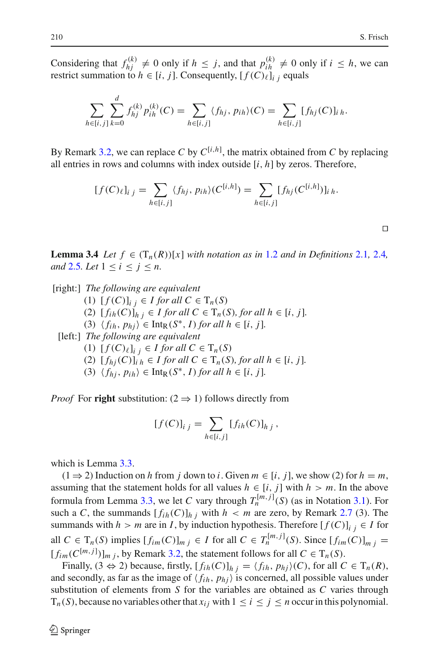Considering that  $f_{hj}^{(k)} \neq 0$  only if  $h \leq j$ , and that  $p_{ih}^{(k)} \neq 0$  only if  $i \leq h$ , we can restrict summation to  $h \in [i, j]$ . Consequently,  $[f(C)_{\ell}]_{i,j}$  equals

$$
\sum_{h \in [i,j]} \sum_{k=0}^d f_{hj}^{(k)} p_{ih}^{(k)}(C) = \sum_{h \in [i,j]} \langle f_{hj}, p_{ih} \rangle(C) = \sum_{h \in [i,j]} [f_{hj}(C)]_{ih}.
$$

By Remark [3.2,](#page-7-0) we can replace C by  $C^{[i,h]}$ , the matrix obtained from C by replacing all entries in rows and columns with index outside [*i*, *h*] by zeros. Therefore,

$$
[f(C)_{\ell}]_{i,j} = \sum_{h \in [i,j]} \langle f_{hj}, p_{ih} \rangle (C^{[i,h]}) = \sum_{h \in [i,j]} [f_{hj}(C^{[i,h]})]_{i,h}.
$$

<span id="page-9-0"></span>**Lemma 3.4** *Let*  $f \in (T_n(R))[x]$  *with notation as in* [1.2](#page-2-1) *and in Definitions* [2.1](#page-5-0), [2.4](#page-5-1)*, and* [2.5](#page-6-0)*. Let*  $1 \leq i \leq j \leq n$ *.* 

[right:] *The following are equivalent*

(1)  $[f(C)]_{i} \in I$  for all  $C \in T_n(S)$ (2)  $[f_{ih}(C)]_{h}$  *j* ∈ *I for all*  $C ∈ T_n(S)$ *, for all*  $h ∈ [i, j]$ *.*  $\langle f_{ih}, p_{hi} \rangle \in \text{Int}_{R}(S^*, I)$  *for all h*  $\in [i, j]$ *.* 

[left:] *The following are equivalent*

- (1)  $[f(C)_{\ell}]_{i,j} \in I$  *for all*  $C \in T_n(S)$
- (2)  $[f_{hj}(C)]$ *i*  $_h \in I$  *for all*  $C \in T_n(S)$ *, for all*  $h \in [i, j]$ *.*

(3)  $\langle f_{hj}, p_{ih} \rangle \in \text{Int}_{R}(S^*, I)$  *for all*  $h \in [i, j]$ *.* 

*Proof* For **right** substitution:  $(2 \Rightarrow 1)$  follows directly from

$$
[f(C)]_{i j} = \sum_{h \in [i,j]} [f_{ih}(C)]_{h j},
$$

which is Lemma [3.3.](#page-7-1)

(1 ⇒ 2) Induction on *h* from *j* down to *i*. Given  $m \in [i, j]$ , we show (2) for  $h = m$ , assuming that the statement holds for all values  $h \in [i, j]$  with  $h > m$ . In the above formula from Lemma [3.3,](#page-7-1) we let *C* vary through  $T_n^{[m,j]}(S)$  (as in Notation [3.1\)](#page-7-2). For such a *C*, the summands  $[f_{ih}(C)]_{h}$  *i* with  $h < m$  are zero, by Remark [2.7](#page-6-2) (3). The summands with *h* > *m* are in *I*, by induction hypothesis. Therefore  $[f(C)]_{i}$   $i \in I$  for all  $C \in T_n(S)$  implies  $[f_{im}(C)]_{m j} \in I$  for all  $C \in T_n^{[m,j]}(S)$ . Since  $[f_{im}(C)]_{m j} =$  $[f_{im}(C^{[m,j]})]_{m,j}$ , by Remark [3.2,](#page-7-0) the statement follows for all  $C \in T_n(S)$ .

Finally,  $(3 \Leftrightarrow 2)$  because, firstly,  $[f_{ih}(C)]_{h}$   $_i = \langle f_{ih}, p_{hj} \rangle(C)$ , for all  $C \in T_n(R)$ , and secondly, as far as the image of  $\langle f_{ih}, p_{hi} \rangle$  is concerned, all possible values under substitution of elements from *S* for the variables are obtained as *C* varies through  $T_n(S)$ , because no variables other that  $x_{ij}$  with  $1 \le i \le j \le n$  occur in this polynomial.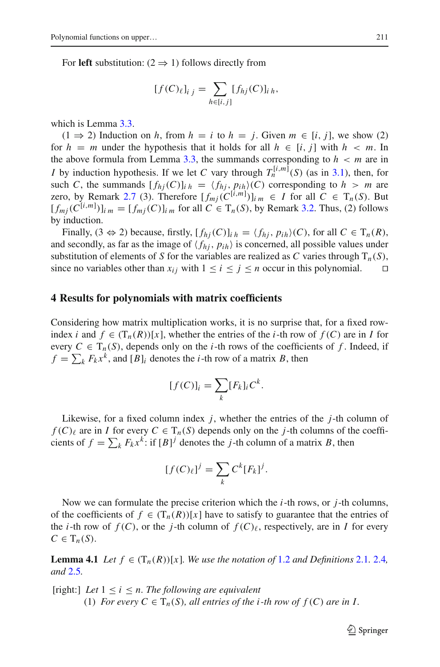For **left** substitution:  $(2 \Rightarrow 1)$  follows directly from

$$
[f(C)_{\ell}]_{i j} = \sum_{h \in [i,j]} [f_{hj}(C)]_{i h},
$$

which is Lemma [3.3.](#page-7-1)

(1 ⇒ 2) Induction on *h*, from *h* = *i* to *h* = *j*. Given *m* ∈ [*i*, *j*], we show (2) for  $h = m$  under the hypothesis that it holds for all  $h \in [i, j]$  with  $h < m$ . In the above formula from Lemma [3.3,](#page-7-1) the summands corresponding to  $h < m$  are in *I* by induction hypothesis. If we let *C* vary through  $T_n^{[i,m]}(S)$  (as in [3.1\)](#page-7-2), then, for such *C*, the summands  $[f_{hi}(C)]_{ih} = \langle f_{hi}, p_{ih} \rangle(C)$  corresponding to  $h > m$  are zero, by Remark [2.7](#page-6-2) (3). Therefore  $[f_{mj}(C^{[i,m]})]_{im} \in I$  for all  $C \in T_n(S)$ . But  $[f_{mj}(C^{[i,m]})]_{i,m} = [f_{mj}(C)]_{i,m}$  for all  $C \in T_n(S)$ , by Remark [3.2.](#page-7-0) Thus, (2) follows by induction.

Finally,  $(3 \Leftrightarrow 2)$  because, firstly,  $[f_{hi}(C)]_{ih} = \langle f_{hi}, p_{ih} \rangle(C)$ , for all  $C \in T_n(R)$ , and secondly, as far as the image of  $\langle f_{hi}, p_{ih} \rangle$  is concerned, all possible values under substitution of elements of *S* for the variables are realized as *C* varies through  $T_n(S)$ , since no variables other than  $x_{ij}$  with  $1 \le i \le j \le n$  occur in this polynomial.

## **4 Results for polynomials with matrix coefficients**

Considering how matrix multiplication works, it is no surprise that, for a fixed rowindex *i* and  $f \in (T_n(R))[x]$ , whether the entries of the *i*-th row of  $f(C)$  are in *I* for every  $C \in T_n(S)$ , depends only on the *i*-th rows of the coefficients of f. Indeed, if  $f = \sum_{k} F_{k} x^{k}$ , and  $[B]_{i}$  denotes the *i*-th row of a matrix *B*, then

$$
[f(C)]_i = \sum_k [F_k]_i C^k.
$$

Likewise, for a fixed column index *j*, whether the entries of the *j*-th column of  $f(C)$ <sub>l</sub> are in *I* for every  $C \in T_n(S)$  depends only on the *j*-th columns of the coefficients of  $f = \sum_{k} F_{k} x^{k}$ : if  $[B]^{j}$  denotes the *j*-th column of a matrix *B*, then

$$
[f(C)_{\ell}]^{j} = \sum_{k} C^{k} [F_{k}]^{j}.
$$

Now we can formulate the precise criterion which the *i*-th rows, or *j*-th columns, of the coefficients of  $f \in (T_n(R))[x]$  have to satisfy to guarantee that the entries of the *i*-th row of  $f(C)$ , or the *j*-th column of  $f(C)$ <sub>l</sub>, respectively, are in *I* for every  $C \in T_n(S)$ .

<span id="page-10-0"></span>**Lemma 4.1** *Let*  $f \in (T_n(R))[x]$ *. We use the notation of* [1.2](#page-2-1) *and Definitions* [2.1](#page-5-0)*.* [2.4](#page-5-1)*, and* [2.5](#page-6-0)*.*

[right:] *Let* 1 ≤ *i* ≤ *n. The following are equivalent*

(1) *For every*  $C \in T_n(S)$ *, all entries of the i-th row of*  $f(C)$  *are in I.*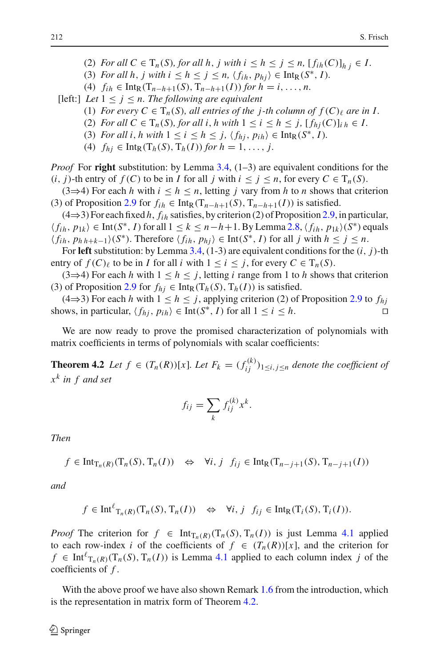- (2) *For all*  $C \in T_n(S)$ *, for all*  $h, j$  *with*  $i \leq h \leq j \leq n$ ,  $[f_{ih}(C)]_{h, i} \in I$ .
- (3) *For all h*, *j* with  $i \leq h \leq j \leq n$ ,  $\langle f_{ih}, p_{hi} \rangle \in \text{Int}_{R}(S^*, I)$ .
- (4)  $f_{ih} \in \text{Int}_{R}(T_{n-h+1}(S), T_{n-h+1}(I))$  *for*  $h = i, ..., n$ .

[left:] *Let*  $1 \leq j \leq n$ *. The following are equivalent* 

- (1) *For every*  $C \in T_n(S)$ *, all entries of the j-th column of*  $f(C)_{\ell}$  *are in I*.
- (2) *For all*  $C \in T_n(S)$ *, for all i, h with*  $1 \leq i \leq h \leq j$ *,*  $[f_{hi}(C)]_{ih} \in I$ *.*
- (3) *For all i, h with*  $1 \leq i \leq h \leq j$ ,  $\langle f_{hi}, p_{ih} \rangle \in \text{Int}_{R}(S^*, I)$ *.*
- (4)  $f_{hj} \in \text{Int}_R(T_h(S), T_h(I))$  *for*  $h = 1, ..., j$ .

*Proof* For **right** substitution: by Lemma [3.4,](#page-9-0) (1–3) are equivalent conditions for the  $(i, j)$ -th entry of  $f(C)$  to be in *I* for all *j* with  $i \leq j \leq n$ , for every  $C \in T_n(S)$ .

(3⇒4) For each *h* with  $i \leq h \leq n$ , letting *j* vary from *h* to *n* shows that criterion (3) of Proposition [2.9](#page-7-3) for  $f_{ih} \in \text{Int}_{R}(T_{n-h+1}(S), T_{n-h+1}(I))$  is satisfied.

(4⇒3) For each fixed *h*, *fi h* satisfies, by criterion (2) of Proposition [2.9,](#page-7-3) in particular,  $\langle f_{ih}, p_{1k} \rangle$  ∈ Int(*S*<sup>\*</sup>, *I*) for all  $1 \le k \le n-h+1$ . By Lemma [2.8,](#page-6-3)  $\langle f_{ih}, p_{1k} \rangle$ (*S*<sup>\*</sup>) equals  $\langle f_{ih}, p_{hh+k-1} \rangle$ (*S*<sup>∗</sup>). Therefore  $\langle f_{ih}, p_{hi} \rangle$  ∈ Int(*S*<sup>∗</sup>, *I*) for all *j* with  $h \le j \le n$ .

For **left** substitution: by Lemma [3.4,](#page-9-0) (1-3) are equivalent conditions for the (*i*, *j*)-th entry of  $f(C)_\ell$  to be in *I* for all *i* with  $1 \le i \le j$ , for every  $C \in T_n(S)$ .

(3⇒4) For each *h* with  $1 \le h \le j$ , letting *i* range from 1 to *h* shows that criterion (3) of Proposition [2.9](#page-7-3) for  $f_{hi} \in \text{Int}_R(T_h(S), T_h(I))$  is satisfied.

(4⇒3) For each *h* with  $1 \le h \le j$ , applying criterion (2) of Proposition [2.9](#page-7-3) to  $f_{hi}$ shows, in particular,  $\langle f_{hj}, p_{ih} \rangle \in \text{Int}(S^*, I)$  for all  $1 \le i \le h$ .

<span id="page-11-0"></span>We are now ready to prove the promised characterization of polynomials with matrix coefficients in terms of polynomials with scalar coefficients:

**Theorem 4.2** *Let*  $f \in (T_n(R))[x]$ *. Let*  $F_k = (f_{ij}^{(k)})_{1 \leq i,j \leq n}$  *denote the coefficient of x<sup>k</sup> in f and set*

$$
f_{ij} = \sum_{k} f_{ij}^{(k)} x^{k}.
$$

*Then*

 $f \in \text{Int}_{\text{T}_n(R)}(\text{T}_n(S), \text{T}_n(I)) \Leftrightarrow \forall i, j \ f_{ij} \in \text{Int}_{\text{R}}(\text{T}_{n-j+1}(S), \text{T}_{n-j+1}(I))$ 

*and*

$$
f \in \text{Int}^{\ell} T_n(R) (T_n(S), T_n(I)) \iff \forall i, j \ f_{ij} \in \text{Int}_R(T_i(S), T_i(I)).
$$

*Proof* The criterion for  $f \in \text{Int}_{T_n(R)}(T_n(S), T_n(I))$  is just Lemma [4.1](#page-10-0) applied to each row-index *i* of the coefficients of  $f \in (T_n(R))[x]$ , and the criterion for  $f \in \text{Int}^{\ell}_{T_n(R)}(T_n(S), T_n(I))$  is Lemma [4.1](#page-10-0) applied to each column index *j* of the coefficients of *f* .

With the above proof we have also shown Remark [1.6](#page-3-0) from the introduction, which is the representation in matrix form of Theorem [4.2.](#page-11-0)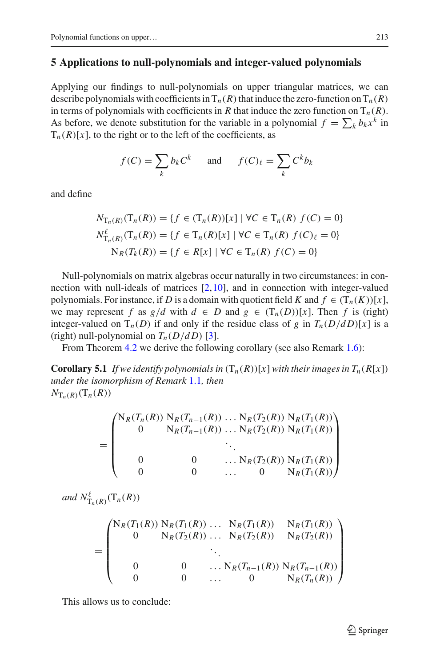# <span id="page-12-0"></span>**5 Applications to null-polynomials and integer-valued polynomials**

Applying our findings to null-polynomials on upper triangular matrices, we can describe polynomials with coefficients in  $T_n(R)$  that induce the zero-function on  $T_n(R)$ in terms of polynomials with coefficients in *R* that induce the zero function on  $T_n(R)$ . As before, we denote substitution for the variable in a polynomial  $f = \sum_k b_k x^k$  in  $T_n(R)[x]$ , to the right or to the left of the coefficients, as

$$
f(C) = \sum_{k} b_k C^k \quad \text{and} \quad f(C)_{\ell} = \sum_{k} C^k b_k
$$

and define

$$
N_{\mathrm{T}_n(R)}(\mathrm{T}_n(R)) = \{ f \in (\mathrm{T}_n(R))[x] \mid \forall C \in \mathrm{T}_n(R) \ f(C) = 0 \}
$$
  

$$
N_{\mathrm{T}_n(R)}^{\ell}(\mathrm{T}_n(R)) = \{ f \in \mathrm{T}_n(R)[x] \mid \forall C \in \mathrm{T}_n(R) \ f(C)_{\ell} = 0 \}
$$
  

$$
\mathrm{N}_R(T_k(R)) = \{ f \in R[x] \mid \forall C \in \mathrm{T}_n(R) \ f(C) = 0 \}
$$

Null-polynomials on matrix algebras occur naturally in two circumstances: in connection with null-ideals of matrices [\[2](#page-14-7),[10\]](#page-14-8), and in connection with integer-valued polynomials. For instance, if *D* is a domain with quotient field *K* and  $f \in (T_n(K))[x]$ , we may represent *f* as  $g/d$  with  $d \in D$  and  $g \in (T_n(D))[x]$ . Then *f* is (right) integer-valued on  $T_n(D)$  if and only if the residue class of *g* in  $T_n(D/dD)[x]$  is a (right) null-polynomial on  $T_n(D/dD)$  [\[3](#page-14-9)].

From Theorem [4.2](#page-11-0) we derive the following corollary (see also Remark [1.6\)](#page-3-0):

**Corollary 5.1** *If we identify polynomials in*  $(T_n(R))[x]$  *with their images in*  $T_n(R[x])$ *under the isomorphism of Remark* [1.1](#page-2-0)*, then*  $N_{\mathrm{T}_n(R)}(\mathrm{T}_n(R))$ 

$$
= \begin{pmatrix} N_R(T_n(R)) N_R(T_{n-1}(R)) \dots N_R(T_2(R)) N_R(T_1(R)) \\ 0 N_R(T_{n-1}(R)) \dots N_R(T_2(R)) N_R(T_1(R)) \\ \vdots \\ 0 & 0 \dots N_R(T_2(R)) N_R(T_1(R)) \\ 0 & 0 \dots 0 N_R(T_1(R)) \end{pmatrix}
$$

and  $N_{\mathrm{T}_n(R)}^{\ell}(\mathrm{T}_n(R))$ 

$$
= \begin{pmatrix} N_R(T_1(R)) N_R(T_1(R)) \dots N_R(T_1(R)) & N_R(T_1(R)) \\ 0 & N_R(T_2(R)) \dots N_R(T_2(R)) & N_R(T_2(R)) \\ \vdots & \vdots & \ddots & \vdots \\ 0 & 0 & \dots N_R(T_{n-1}(R)) N_R(T_{n-1}(R)) \\ 0 & 0 & \dots & 0 & N_R(T_n(R)) \end{pmatrix}
$$

<span id="page-12-1"></span>This allows us to conclude: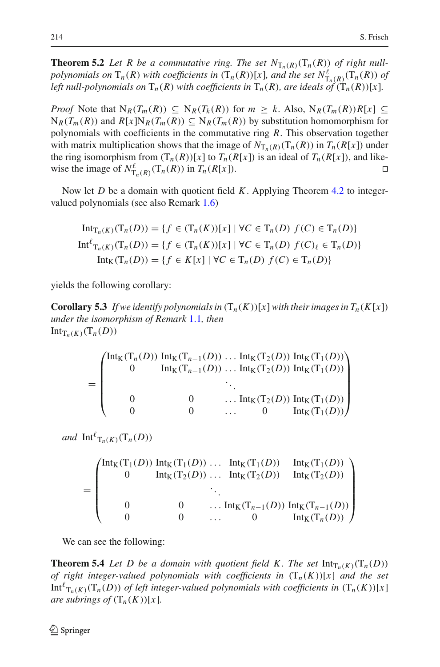**Theorem 5.2** Let R be a commutative ring. The set  $N_{T_n(R)}(T_n(R))$  of right null*polynomials on*  $T_n(R)$  *with coefficients in*  $(T_n(R))[x]$ *, and the set*  $N^{\ell}_{T_n(R)}(T_n(R))$  *of left null-polynomials on*  $T_n(R)$  *with coefficients in*  $T_n(R)$ *, are ideals of*  $(T_n(R))[x]$ *.* 

*Proof* Note that  $N_R(T_m(R)) \subseteq N_R(T_k(R))$  for  $m \geq k$ . Also,  $N_R(T_m(R))R[x] \subseteq$  $N_R(T_m(R))$  and  $R[x]N_R(T_m(R)) \subseteq N_R(T_m(R))$  by substitution homomorphism for polynomials with coefficients in the commutative ring *R*. This observation together with matrix multiplication shows that the image of  $N_{T_n(R)}(T_n(R))$  in  $T_n(R[x])$  under the ring isomorphism from  $(T_n(R))[x]$  to  $T_n(R[x])$  is an ideal of  $T_n(R[x])$ , and like-<br>wise the image of  $N_n^{\ell}$  ( $T_n(R)$ ) in  $T_n(R[x])$ . wise the image of  $N_{\mathrm{T}_n(R)}^{\ell}(\mathrm{T}_n(R))$  in  $T_n(R[x])$ .

Now let *D* be a domain with quotient field *K*. Applying Theorem [4.2](#page-11-0) to integervalued polynomials (see also Remark [1.6\)](#page-3-0)

$$
\text{Int}_{T_n(K)}(T_n(D)) = \{ f \in (T_n(K))[x] \mid \forall C \in T_n(D) \ f(C) \in T_n(D) \}
$$
\n
$$
\text{Int}_{T_n(K)}^{\ell}(T_n(D)) = \{ f \in (T_n(K))[x] \mid \forall C \in T_n(D) \ f(C)_{\ell} \in T_n(D) \}
$$
\n
$$
\text{Int}_{K}(T_n(D)) = \{ f \in K[x] \mid \forall C \in T_n(D) \ f(C) \in T_n(D) \}
$$

yields the following corollary:

**Corollary 5.3** *If we identify polynomials in*  $(T_n(K))[x]$ *with their images in*  $T_n(K[x])$ *under the isomorphism of Remark* [1.1](#page-2-0)*, then*  $Int_{T_n(K)}(T_n(D))$ 

$$
= \begin{pmatrix} \text{Int}_{K}(T_{n}(D)) \text{ Int}_{K}(T_{n-1}(D)) \dots \text{Int}_{K}(T_{2}(D)) \text{ Int}_{K}(T_{1}(D)) \\ 0 & \text{Int}_{K}(T_{n-1}(D)) \dots \text{Int}_{K}(T_{2}(D)) \text{ Int}_{K}(T_{1}(D)) \\ \cdot & \cdot \\ 0 & 0 & \dots \text{Int}_{K}(T_{2}(D)) \text{ Int}_{K}(T_{1}(D)) \\ 0 & 0 & \dots & 0 \text{ Int}_{K}(T_{1}(D)) \end{pmatrix}
$$

*and*  $\mathrm{Int}^{\ell}T_{n}(K)(T_{n}(D))$ 

$$
= \begin{pmatrix} \text{Int}_{K}(T_{1}(D)) & \text{Int}_{K}(T_{1}(D)) & \dots & \text{Int}_{K}(T_{1}(D)) & \text{Int}_{K}(T_{1}(D)) \\ 0 & \text{Int}_{K}(T_{2}(D)) & \dots & \text{Int}_{K}(T_{2}(D)) & \text{Int}_{K}(T_{2}(D)) \\ \vdots & \vdots & \ddots & \vdots & \vdots \\ 0 & 0 & \dots & \text{Int}_{K}(T_{n-1}(D)) & \text{Int}_{K}(T_{n-1}(D)) \\ 0 & 0 & \dots & 0 & \text{Int}_{K}(T_{n}(D)) \end{pmatrix}
$$

<span id="page-13-0"></span>We can see the following:

**Theorem 5.4** Let D be a domain with quotient field K. The set  $\text{Int}_{T_n(K)}(T_n(D))$ *of right integer-valued polynomials with coefficients in*  $(T_n(K))[x]$  *and the set*  $\text{Int}^{\ell}_{\mathrm{T}_n(K)}(\mathrm{T}_n(D))$  *of left integer-valued polynomials with coefficients in*  $(\mathrm{T}_n(K))[x]$ *are subrings of*  $(T_n(K))[x]$ *.*